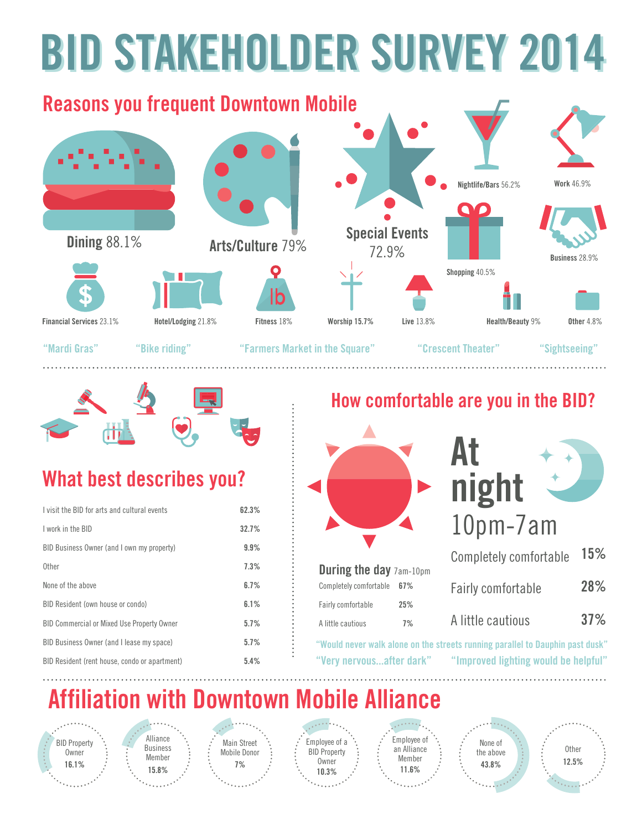# **BID STAKEHOLDER SURVEY 2014 BID STAKEHOLDER SURVEY 2014**

### **Reasons you frequent Downtown Mobile Nightlife/Bars** 56.2% **Work** 46.9% **Arts/Culture** 79% **Special Events Dining** 88.1% 72.9% **Business** 28.9% **Shopping** 40.5% П **Financial Services** 23.1% **Hotel/Lodging** 21.8% **Fitness** 18% **Worship 15.7% Live** 13.8% **Health/Beauty** 9% **Other** 4.8%

. . . . . . . . . . .

**"Mardi Gras" "Bike riding" "Farmers Market in the Square"**

**"Crescent Theater" "Sightseeing"**



### **What best describes you?**

| I visit the BID for arts and cultural events      | 62.3% |
|---------------------------------------------------|-------|
| I work in the BID                                 | 32.7% |
| BID Business Owner (and I own my property)        | 9.9%  |
| 0ther                                             | 7.3%  |
| None of the above                                 | 6.7%  |
| BID Resident (own house or condo)                 | 6.1%  |
| <b>BID Commercial or Mixed Use Property Owner</b> | 5.7%  |
| BID Business Owner (and I lease my space)         | 5.7%  |
| BID Resident (rent house, condo or apartment)     | 5.4%  |

#### **How comfortable are you in the BID?**



**"Would never walk alone on the streets running parallel to Dauphin past dusk" "Very nervous...after dark" "Improved lighting would be helpful"**

## **Affiliation with Downtown Mobile Alliance**

BID Property **Owner 16.1%**



Main Street Mobile Donor **7%**

Employee of a BID Property **Owner 10.3%**



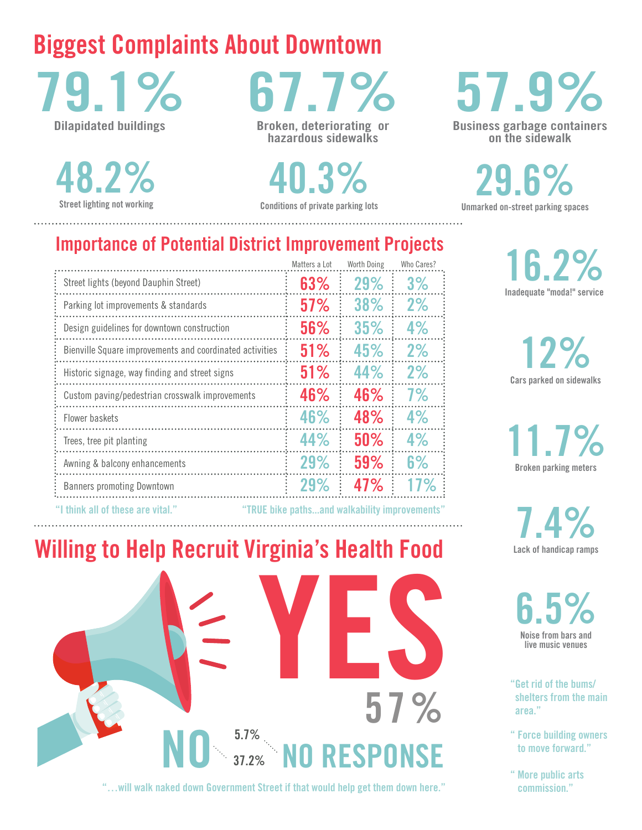### **Biggest Complaints About Downtown**

**79.1% Dilapidated buildings**

**48.2%** 

**67.7%**

**Broken, deteriorating or hazardous sidewalks**

**Street lighting not working Conditions of private parking lots 40.3%**

## **57.9%**

**Business garbage containers on the sidewalk**

**Unmarked on-street parking spaces 29.6%**

#### **16.2% Inadequate "moda!" service**

**Cars parked on sidewalks 12%**

**11.7% Broken parking meters**

**Lack of handicap ramps 7.4%**

**6.5% Noise from bars and live music venues**

**"Get rid of the bums/ shelters from the main area."**

- **" Force building owners to move forward."**
- **" More public arts commission."**

| <b>Importance of Potential District Improvement Projects</b> |  |  |  |
|--------------------------------------------------------------|--|--|--|
|                                                              |  |  |  |

|                                                          | Matters a Lot | Worth Doing | Who Cares? |
|----------------------------------------------------------|---------------|-------------|------------|
| Street lights (beyond Dauphin Street)                    | 63%           | 29%         | 3%         |
| Parking lot improvements & standards                     | 57%           | 38%         | 2%         |
| Design guidelines for downtown construction              | 56%           | 35%         | 4%         |
| Bienville Square improvements and coordinated activities | 51%           | 45%         | 2%         |
| Historic signage, way finding and street signs           | 51%           | 44%         | 2%         |
| Custom paving/pedestrian crosswalk improvements          | 46%           | 46%         | 7%         |
| Flower baskets                                           | 46%           | 48%         | 4%         |
| Trees, tree pit planting                                 | 44%           | 50%         | 4%         |
| Awning & balcony enhancements                            | 29%           | 59%         | 6%         |
| <b>Banners promoting Downtown</b>                        | 29%           | 47%         |            |
|                                                          |               |             |            |

**"I think all of these are vital." "TRUE bike paths...and walkability improvements"**

**Willing to Help Recruit Virginia's Health Food**



**"…will walk naked down Government Street if that would help get them down here."**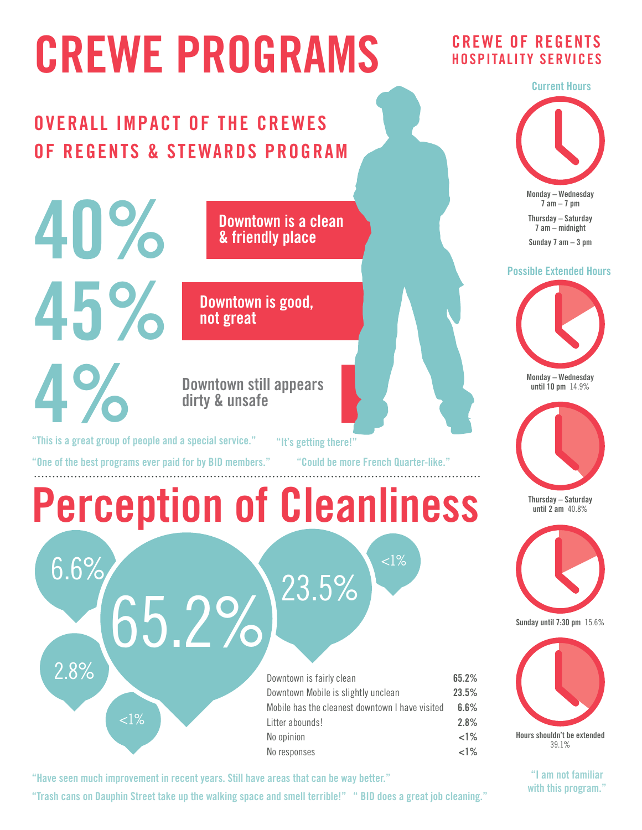# **CREWE PROGRAMS**

### **OVERALL IMPACT OF THE CREWES OF REGENTS & STEWARDS PROGRAM**

**Downtown is a clean & friendly place**

**Downtown is good, not great**

#### **Downtown still appears dirty & unsafe**

**"This is a great group of people and a special service."**

**40%**

**45%**

**4%**

**"It's getting there!"**

**"One of the best programs ever paid for by BID members."**

**"Could be more French Quarter-like."**

 $<$ l $\%$ 

## **Perception of Cleanliness**

2.8%

 $< 1\%$ 

| Downtown is fairly clean                        | 65.2%    |
|-------------------------------------------------|----------|
| Downtown Mobile is slightly unclean             | 23.5%    |
| Mobile has the cleanest downtown I have visited | 6.6%     |
| Litter abounds!                                 | 2.8%     |
| No opinion                                      | ${<}1\%$ |
| No responses                                    | ${<}1\%$ |

**"Have seen much improvement in recent years. Still have areas that can be way better."**

 $6.6\%$  65.2%  $^{23.5\%}$ 

**"Trash cans on Dauphin Street take up the walking space and smell terrible!" " BID does a great job cleaning."**

#### **CREWE OF REGENTS HOSPITALITY SERVICES**



#### **Possible Extended Hours**



**Monday – Wednesday until 10 pm** 14.9%



**Thursday – Saturday until 2 am** 40.8%



**Sunday until 7:30 pm** 15.6%



**"I am not familiar with this program."**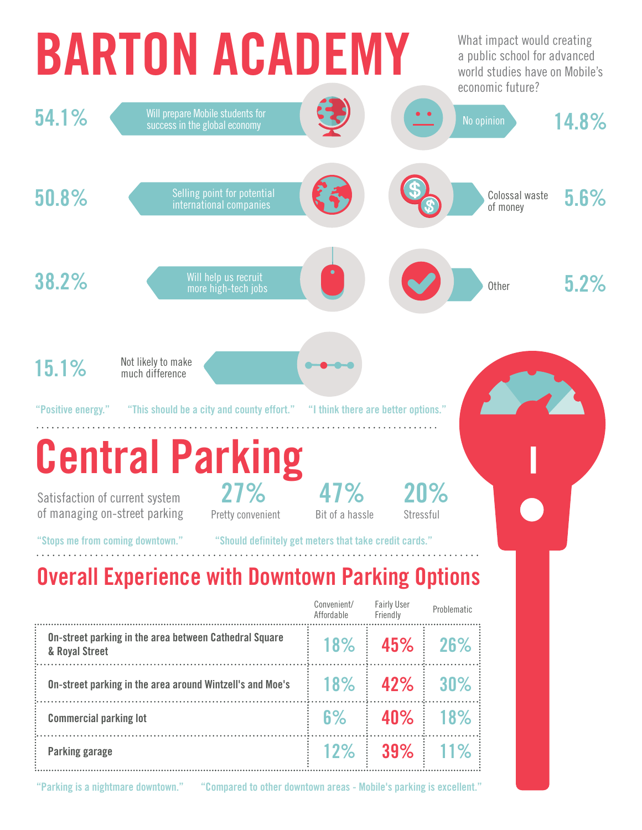